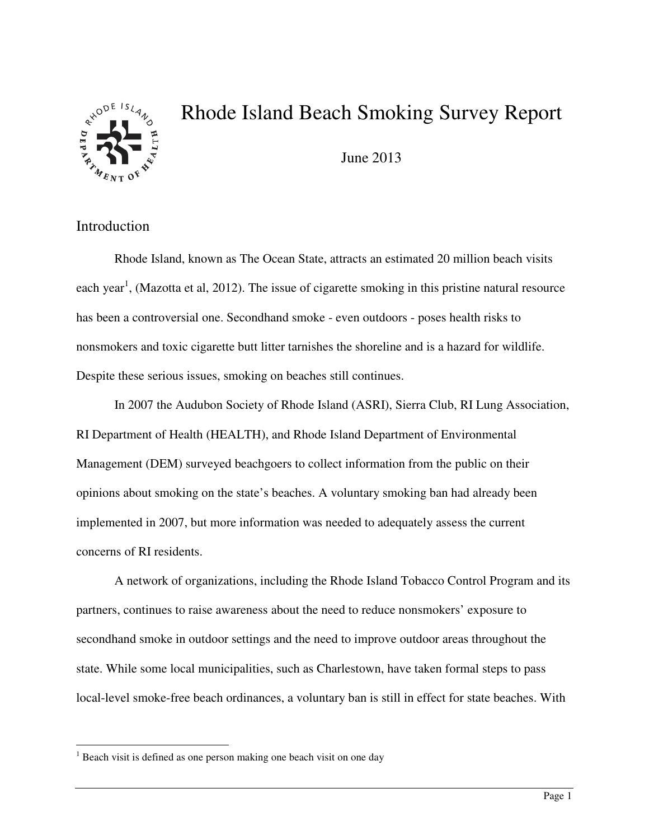

# Rhode Island Beach Smoking Survey Report

June 2013

## Introduction

l

Rhode Island, known as The Ocean State, attracts an estimated 20 million beach visits each year<sup>1</sup>, (Mazotta et al, 2012). The issue of cigarette smoking in this pristine natural resource has been a controversial one. Secondhand smoke - even outdoors - poses health risks to nonsmokers and toxic cigarette butt litter tarnishes the shoreline and is a hazard for wildlife. Despite these serious issues, smoking on beaches still continues.

In 2007 the Audubon Society of Rhode Island (ASRI), Sierra Club, RI Lung Association, RI Department of Health (HEALTH), and Rhode Island Department of Environmental Management (DEM) surveyed beachgoers to collect information from the public on their opinions about smoking on the state's beaches. A voluntary smoking ban had already been implemented in 2007, but more information was needed to adequately assess the current concerns of RI residents.

A network of organizations, including the Rhode Island Tobacco Control Program and its partners, continues to raise awareness about the need to reduce nonsmokers' exposure to secondhand smoke in outdoor settings and the need to improve outdoor areas throughout the state. While some local municipalities, such as Charlestown, have taken formal steps to pass local-level smoke-free beach ordinances, a voluntary ban is still in effect for state beaches. With

<sup>&</sup>lt;sup>1</sup> Beach visit is defined as one person making one beach visit on one day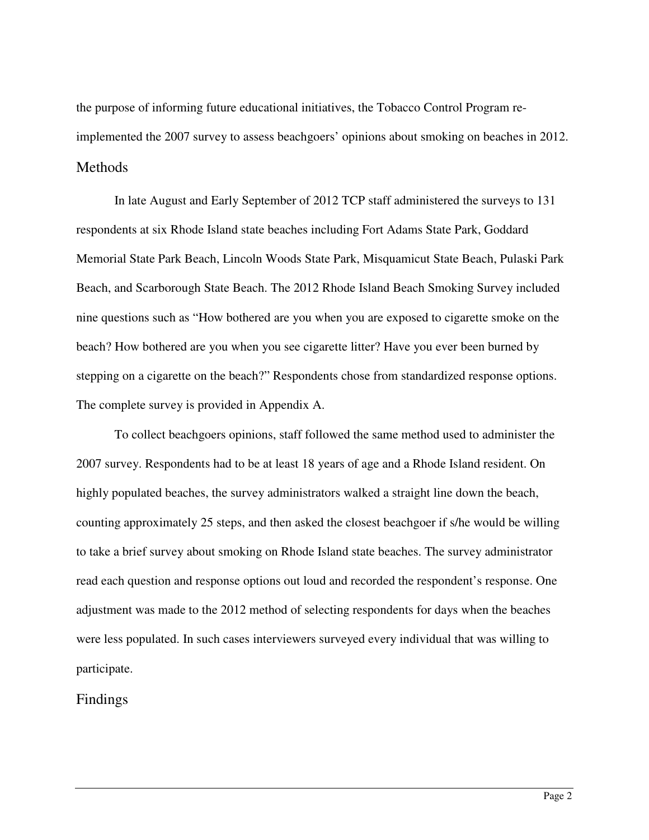the purpose of informing future educational initiatives, the Tobacco Control Program reimplemented the 2007 survey to assess beachgoers' opinions about smoking on beaches in 2012. Methods

In late August and Early September of 2012 TCP staff administered the surveys to 131 respondents at six Rhode Island state beaches including Fort Adams State Park, Goddard Memorial State Park Beach, Lincoln Woods State Park, Misquamicut State Beach, Pulaski Park Beach, and Scarborough State Beach. The 2012 Rhode Island Beach Smoking Survey included nine questions such as "How bothered are you when you are exposed to cigarette smoke on the beach? How bothered are you when you see cigarette litter? Have you ever been burned by stepping on a cigarette on the beach?" Respondents chose from standardized response options. The complete survey is provided in Appendix A.

To collect beachgoers opinions, staff followed the same method used to administer the 2007 survey. Respondents had to be at least 18 years of age and a Rhode Island resident. On highly populated beaches, the survey administrators walked a straight line down the beach, counting approximately 25 steps, and then asked the closest beachgoer if s/he would be willing to take a brief survey about smoking on Rhode Island state beaches. The survey administrator read each question and response options out loud and recorded the respondent's response. One adjustment was made to the 2012 method of selecting respondents for days when the beaches were less populated. In such cases interviewers surveyed every individual that was willing to participate.

## Findings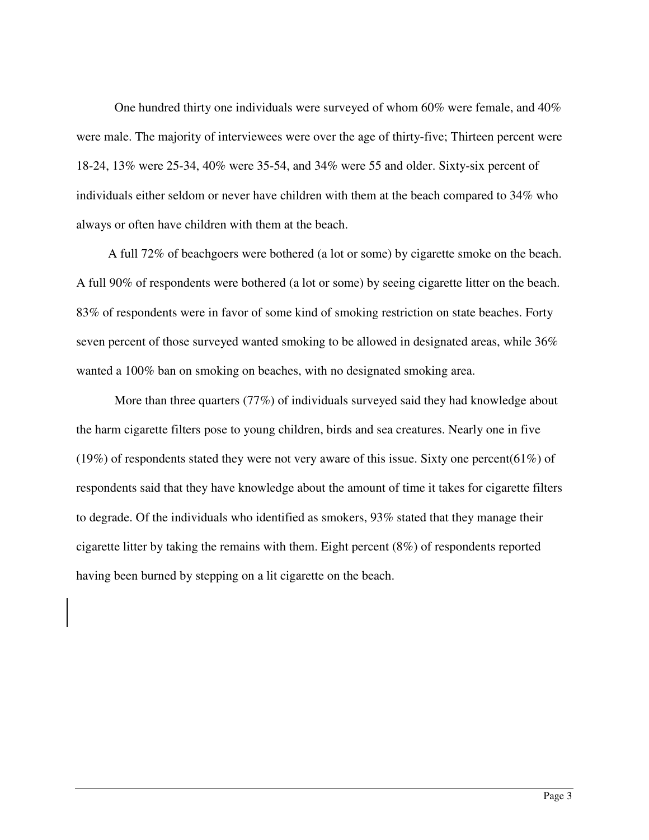One hundred thirty one individuals were surveyed of whom 60% were female, and 40% were male. The majority of interviewees were over the age of thirty-five; Thirteen percent were 18-24, 13% were 25-34, 40% were 35-54, and 34% were 55 and older. Sixty-six percent of individuals either seldom or never have children with them at the beach compared to 34% who always or often have children with them at the beach.

 A full 72% of beachgoers were bothered (a lot or some) by cigarette smoke on the beach. A full 90% of respondents were bothered (a lot or some) by seeing cigarette litter on the beach. 83% of respondents were in favor of some kind of smoking restriction on state beaches. Forty seven percent of those surveyed wanted smoking to be allowed in designated areas, while 36% wanted a 100% ban on smoking on beaches, with no designated smoking area.

More than three quarters (77%) of individuals surveyed said they had knowledge about the harm cigarette filters pose to young children, birds and sea creatures. Nearly one in five (19%) of respondents stated they were not very aware of this issue. Sixty one percent(61%) of respondents said that they have knowledge about the amount of time it takes for cigarette filters to degrade. Of the individuals who identified as smokers, 93% stated that they manage their cigarette litter by taking the remains with them. Eight percent (8%) of respondents reported having been burned by stepping on a lit cigarette on the beach.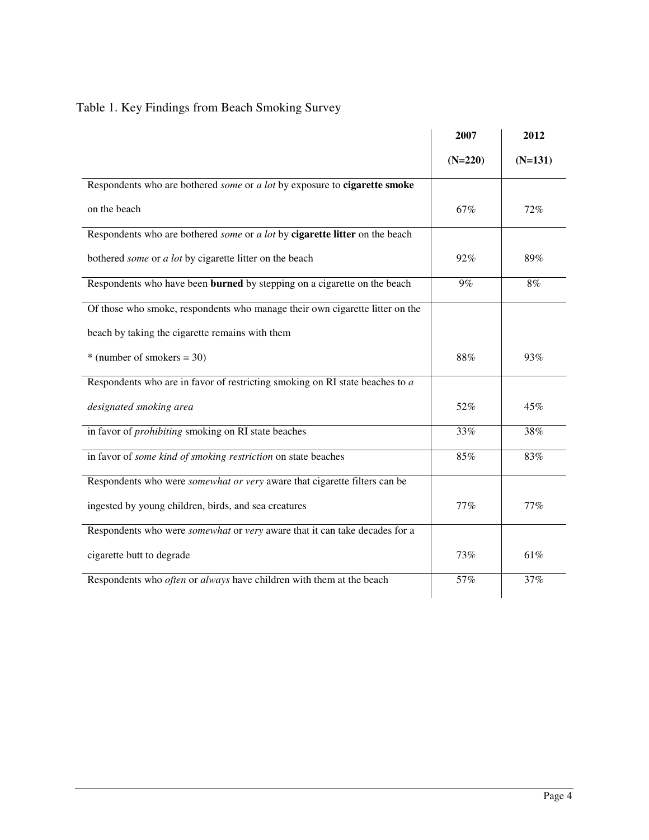|  |  | Table 1. Key Findings from Beach Smoking Survey |  |
|--|--|-------------------------------------------------|--|
|  |  |                                                 |  |

|                                                                                          | 2007      | 2012      |
|------------------------------------------------------------------------------------------|-----------|-----------|
|                                                                                          | $(N=220)$ | $(N=131)$ |
| Respondents who are bothered some or a lot by exposure to <b>cigarette smoke</b>         |           |           |
| on the beach                                                                             | 67%       | 72%       |
| Respondents who are bothered some or a lot by cigarette litter on the beach              |           |           |
| bothered some or a lot by cigarette litter on the beach                                  | 92%       | 89%       |
| Respondents who have been burned by stepping on a cigarette on the beach                 | 9%        | 8%        |
| Of those who smoke, respondents who manage their own cigarette litter on the             |           |           |
| beach by taking the cigarette remains with them                                          |           |           |
| $*$ (number of smokers = 30)                                                             | 88%       | 93%       |
| Respondents who are in favor of restricting smoking on RI state beaches to a             |           |           |
| designated smoking area                                                                  | 52%       | 45%       |
| in favor of <i>prohibiting</i> smoking on RI state beaches                               | 33%       | 38%       |
| in favor of some kind of smoking restriction on state beaches                            | 85%       | 83%       |
| Respondents who were <i>somewhat or very</i> aware that cigarette filters can be         |           |           |
| ingested by young children, birds, and sea creatures                                     | 77%       | 77%       |
| Respondents who were <i>somewhat</i> or <i>very</i> aware that it can take decades for a |           |           |
| cigarette butt to degrade                                                                | 73%       | 61%       |
| Respondents who often or always have children with them at the beach                     | 57%       | 37%       |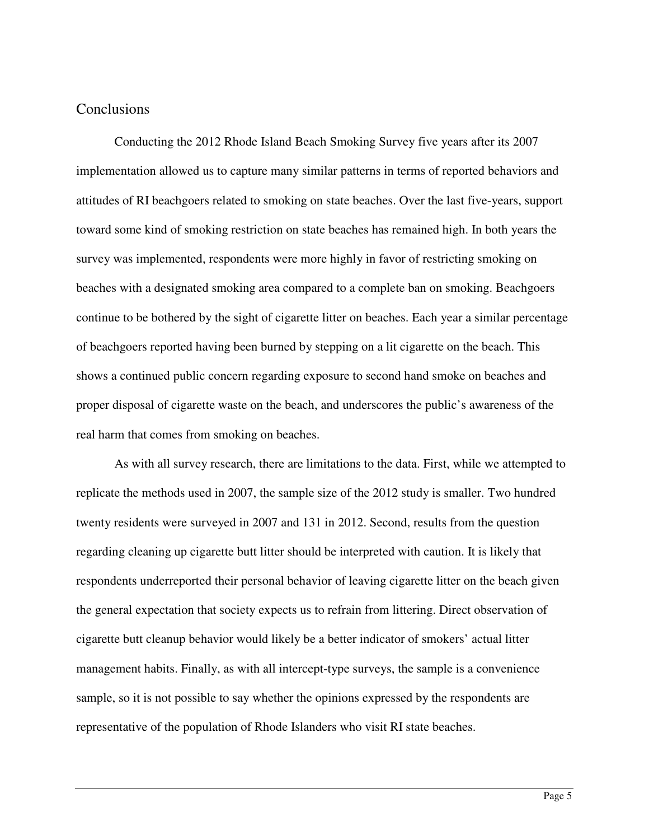#### **Conclusions**

 Conducting the 2012 Rhode Island Beach Smoking Survey five years after its 2007 implementation allowed us to capture many similar patterns in terms of reported behaviors and attitudes of RI beachgoers related to smoking on state beaches. Over the last five-years, support toward some kind of smoking restriction on state beaches has remained high. In both years the survey was implemented, respondents were more highly in favor of restricting smoking on beaches with a designated smoking area compared to a complete ban on smoking. Beachgoers continue to be bothered by the sight of cigarette litter on beaches. Each year a similar percentage of beachgoers reported having been burned by stepping on a lit cigarette on the beach. This shows a continued public concern regarding exposure to second hand smoke on beaches and proper disposal of cigarette waste on the beach, and underscores the public's awareness of the real harm that comes from smoking on beaches.

 As with all survey research, there are limitations to the data. First, while we attempted to replicate the methods used in 2007, the sample size of the 2012 study is smaller. Two hundred twenty residents were surveyed in 2007 and 131 in 2012. Second, results from the question regarding cleaning up cigarette butt litter should be interpreted with caution. It is likely that respondents underreported their personal behavior of leaving cigarette litter on the beach given the general expectation that society expects us to refrain from littering. Direct observation of cigarette butt cleanup behavior would likely be a better indicator of smokers' actual litter management habits. Finally, as with all intercept-type surveys, the sample is a convenience sample, so it is not possible to say whether the opinions expressed by the respondents are representative of the population of Rhode Islanders who visit RI state beaches.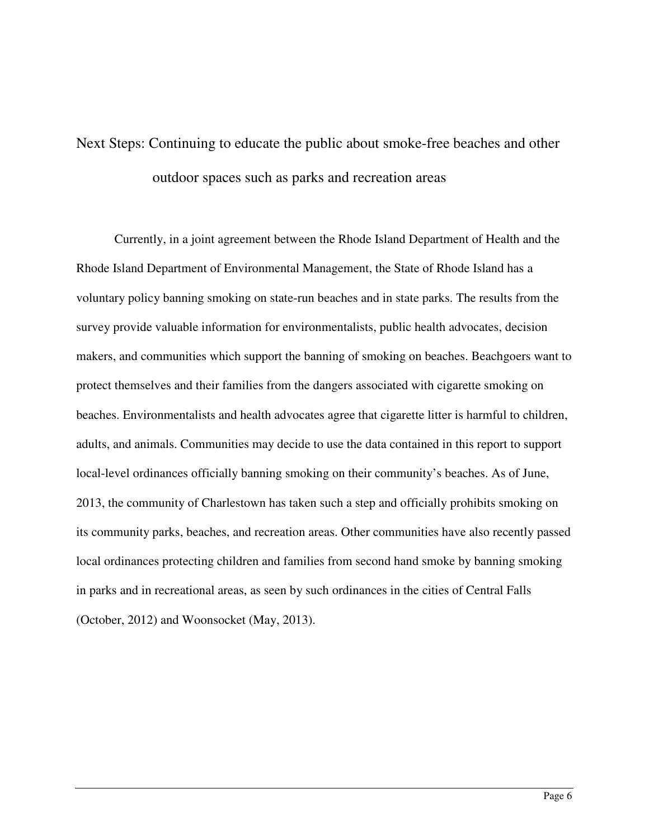# Next Steps: Continuing to educate the public about smoke-free beaches and other outdoor spaces such as parks and recreation areas

Currently, in a joint agreement between the Rhode Island Department of Health and the Rhode Island Department of Environmental Management, the State of Rhode Island has a voluntary policy banning smoking on state-run beaches and in state parks. The results from the survey provide valuable information for environmentalists, public health advocates, decision makers, and communities which support the banning of smoking on beaches. Beachgoers want to protect themselves and their families from the dangers associated with cigarette smoking on beaches. Environmentalists and health advocates agree that cigarette litter is harmful to children, adults, and animals. Communities may decide to use the data contained in this report to support local-level ordinances officially banning smoking on their community's beaches. As of June, 2013, the community of Charlestown has taken such a step and officially prohibits smoking on its community parks, beaches, and recreation areas. Other communities have also recently passed local ordinances protecting children and families from second hand smoke by banning smoking in parks and in recreational areas, as seen by such ordinances in the cities of Central Falls (October, 2012) and Woonsocket (May, 2013).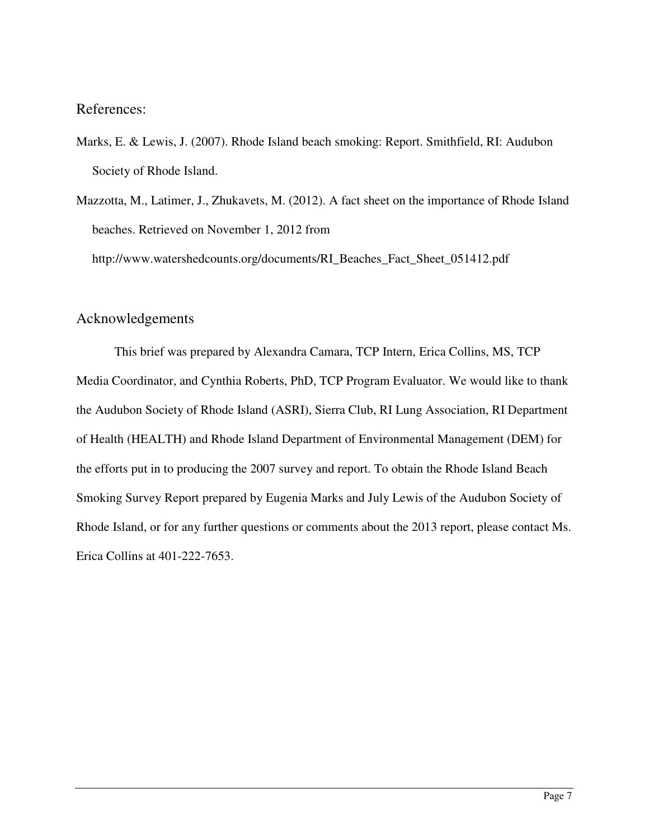References:

- Marks, E. & Lewis, J. (2007). Rhode Island beach smoking: Report. Smithfield, RI: Audubon Society of Rhode Island.
- Mazzotta, M., Latimer, J., Zhukavets, M. (2012). A fact sheet on the importance of Rhode Island beaches. Retrieved on November 1, 2012 from http://www.watershedcounts.org/documents/RI\_Beaches\_Fact\_Sheet\_051412.pdf

## Acknowledgements

This brief was prepared by Alexandra Camara, TCP Intern, Erica Collins, MS, TCP Media Coordinator, and Cynthia Roberts, PhD, TCP Program Evaluator. We would like to thank the Audubon Society of Rhode Island (ASRI), Sierra Club, RI Lung Association, RI Department of Health (HEALTH) and Rhode Island Department of Environmental Management (DEM) for the efforts put in to producing the 2007 survey and report. To obtain the Rhode Island Beach Smoking Survey Report prepared by Eugenia Marks and July Lewis of the Audubon Society of Rhode Island, or for any further questions or comments about the 2013 report, please contact Ms. Erica Collins at 401-222-7653.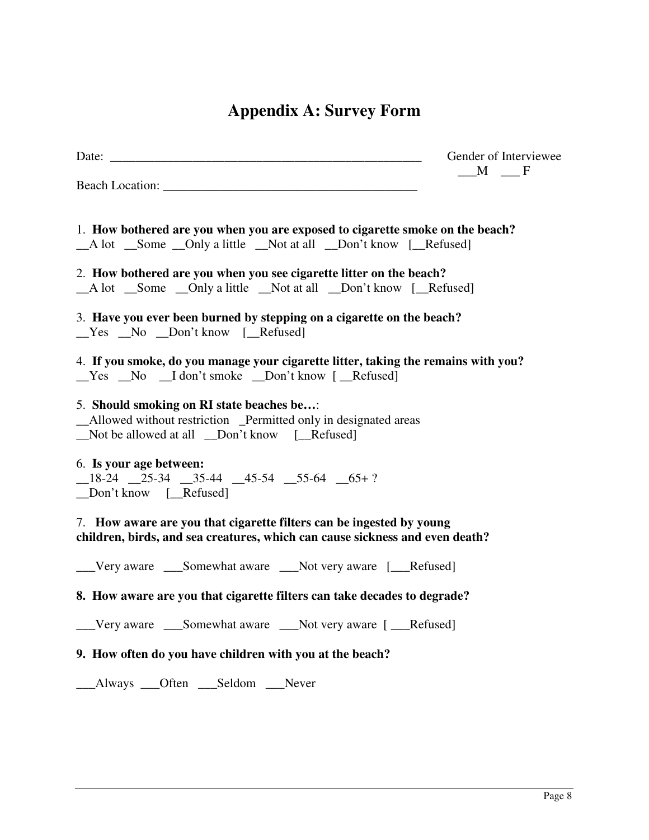# **Appendix A: Survey Form**

|                                                                                                                                                                                                                                | Gender of Interviewee<br>$M \tF$ |
|--------------------------------------------------------------------------------------------------------------------------------------------------------------------------------------------------------------------------------|----------------------------------|
| Beach Location: New York Contract to the Contract of the Contract of the Contract of the Contract of the Contract of the Contract of the Contract of the Contract of the Contract of the Contract of the Contract of the Contr |                                  |
| 1. How bothered are you when you are exposed to cigarette smoke on the beach?<br>_A lot _Some _Only a little _Not at all _Don't know [_Refused]                                                                                |                                  |
| 2. How bothered are you when you see cigarette litter on the beach?<br>_A lot _Some _Only a little _Not at all _Don't know [_Refused]                                                                                          |                                  |
| 3. Have you ever been burned by stepping on a cigarette on the beach?<br>$Yes$ No $Don't know$ [Refused]                                                                                                                       |                                  |
| 4. If you smoke, do you manage your cigarette litter, taking the remains with you?<br>$Yes$ No $I don't$ smoke $Don't$ know $I$ Refused                                                                                        |                                  |
| 5. Should smoking on RI state beaches be:<br>_Allowed without restriction _Permitted only in designated areas<br>Not be allowed at all _Don't know [Refused]                                                                   |                                  |
| 6. Is your age between:<br>$-18-24$ $-25-34$ $-35-44$ $-45-54$ $-55-64$ $65+?$<br>Don't know [_Refused]                                                                                                                        |                                  |
| 7. How aware are you that cigarette filters can be ingested by young<br>children, birds, and sea creatures, which can cause sickness and even death?                                                                           |                                  |
| Very aware _____Somewhat aware _________Not very aware [_______Refused]                                                                                                                                                        |                                  |
| 8. How aware are you that cigarette filters can take decades to degrade?                                                                                                                                                       |                                  |
| __Very aware ___Somewhat aware ___Not very aware [ __Refused]                                                                                                                                                                  |                                  |
| 9. How often do you have children with you at the beach?                                                                                                                                                                       |                                  |

\_\_\_Always \_\_\_Often \_\_\_Seldom \_\_\_Never